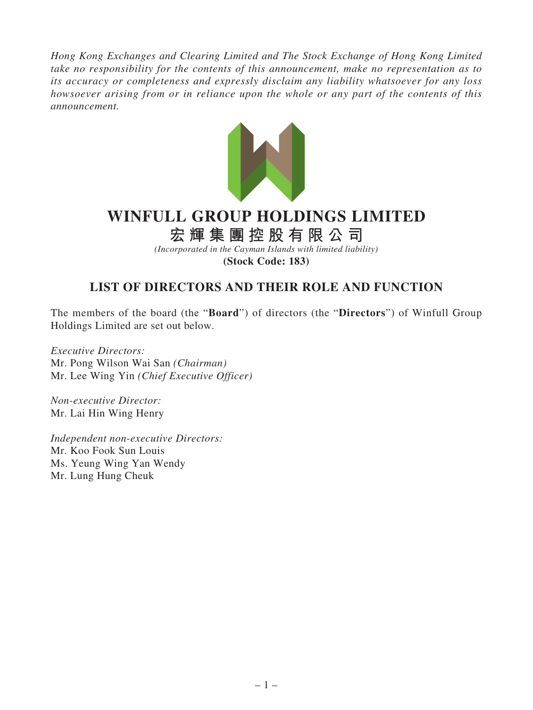*Hong Kong Exchanges and Clearing Limited and The Stock Exchange of Hong Kong Limited take no responsibility for the contents of this announcement, make no representation as to its accuracy or completeness and expressly disclaim any liability whatsoever for any loss howsoever arising from or in reliance upon the whole or any part of the contents of this announcement.*



## **WINFULL GROUP HOLDINGS LIMITED**

**宏輝集團控股有限公司**

*(Incorporated in the Cayman Islands with limited liability)* **(Stock Code: 183)**

## **LIST OF DIRECTORS AND THEIR ROLE AND FUNCTION**

The members of the board (the "**Board**") of directors (the "**Directors**") of Winfull Group Holdings Limited are set out below.

*Executive Directors:* Mr. Pong Wilson Wai San *(Chairman)* Mr. Lee Wing Yin *(Chief Executive Officer)*

*Non-executive Director:* Mr. Lai Hin Wing Henry

*Independent non-executive Directors:* Mr. Koo Fook Sun Louis Ms. Yeung Wing Yan Wendy Mr. Lung Hung Cheuk